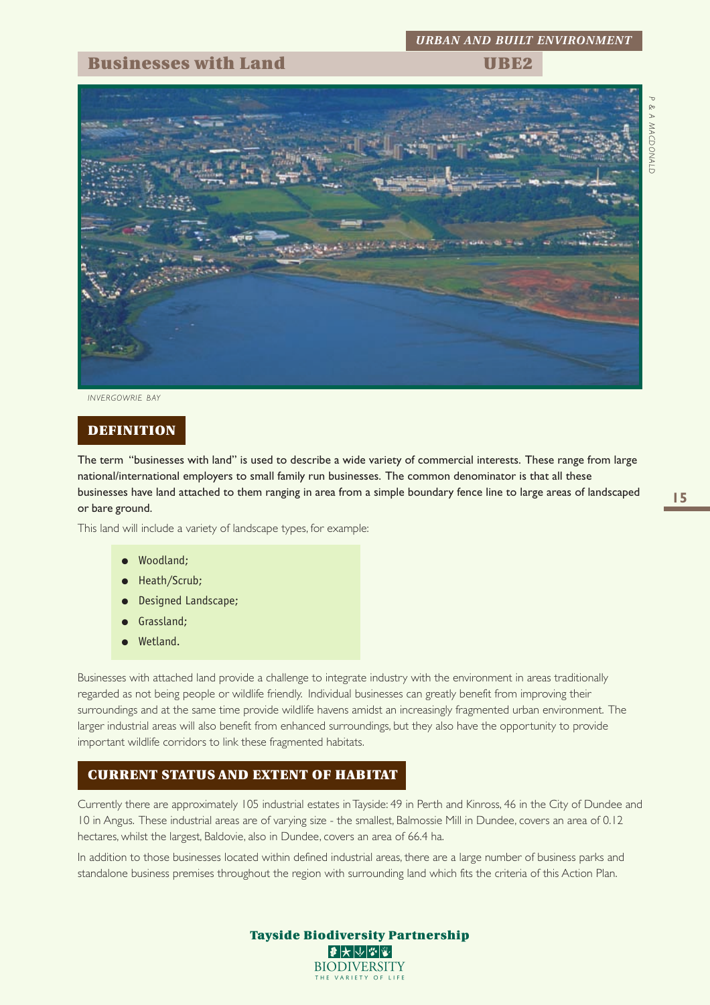## **Businesses with Land UBE2**

*P &* A<br> **A**<br>
MACDONALD *MACDONALD*



*INVERGOWRIE BAY*

### **DEFINITION**

The term "businesses with land" is used to describe a wide variety of commercial interests. These range from large national/international employers to small family run businesses. The common denominator is that all these businesses have land attached to them ranging in area from a simple boundary fence line to large areas of landscaped or bare ground.

This land will include a variety of landscape types, for example:

- Woodland;
- Heath/Scrub;
- **Designed Landscape;**
- Grassland;
- Wetland.

Businesses with attached land provide a challenge to integrate industry with the environment in areas traditionally regarded as not being people or wildlife friendly. Individual businesses can greatly benefit from improving their surroundings and at the same time provide wildlife havens amidst an increasingly fragmented urban environment. The larger industrial areas will also benefit from enhanced surroundings, but they also have the opportunity to provide important wildlife corridors to link these fragmented habitats.

## **CURRENT STATUS AND EXTENT OF HABITAT**

Currently there are approximately 105 industrial estates in Tayside: 49 in Perth and Kinross, 46 in the City of Dundee and 10 in Angus. These industrial areas are of varying size - the smallest, Balmossie Mill in Dundee, covers an area of 0.12 hectares, whilst the largest, Baldovie, also in Dundee, covers an area of 66.4 ha.

In addition to those businesses located within defined industrial areas, there are a large number of business parks and standalone business premises throughout the region with surrounding land which fits the criteria of this Action Plan.

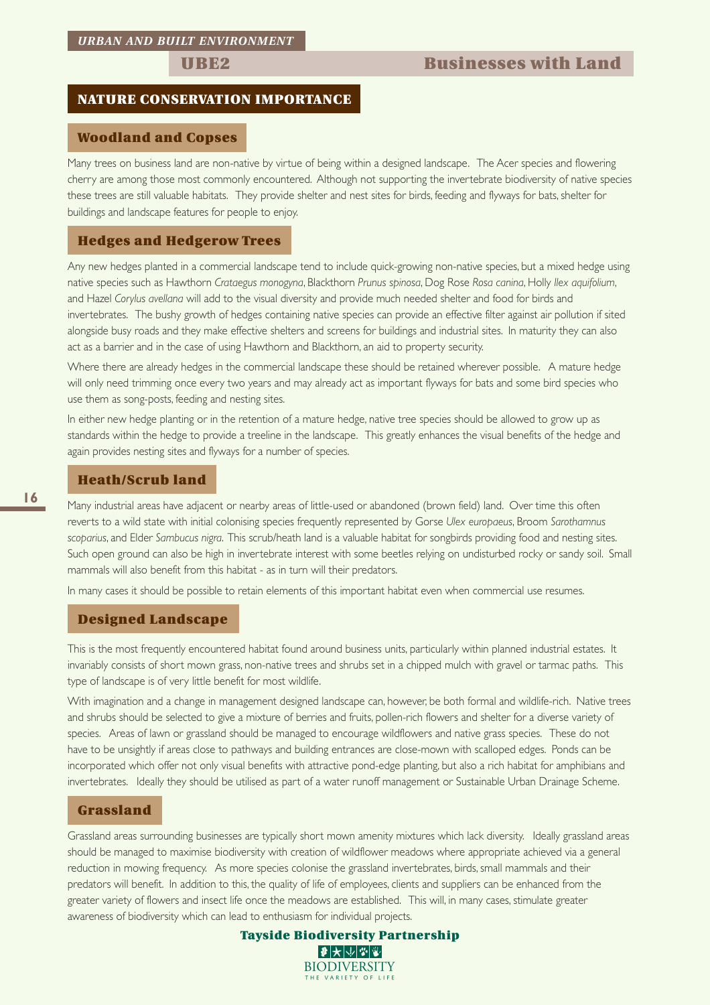## **NATURE CONSERVATION IMPORTANCE**

## **Woodland and Copses**

Many trees on business land are non-native by virtue of being within a designed landscape. The Acer species and flowering cherry are among those most commonly encountered. Although not supporting the invertebrate biodiversity of native species these trees are still valuable habitats. They provide shelter and nest sites for birds, feeding and flyways for bats, shelter for buildings and landscape features for people to enjoy.

## **Hedges and Hedgerow Trees**

Any new hedges planted in a commercial landscape tend to include quick-growing non-native species, but a mixed hedge using native species such as Hawthorn *Crataegus monogyna*, Blackthorn *Prunus spinosa*, Dog Rose *Rosa canina*, Holly *Ilex aquifolium*, and Hazel *Corylus avellana* will add to the visual diversity and provide much needed shelter and food for birds and invertebrates. The bushy growth of hedges containing native species can provide an effective filter against air pollution if sited alongside busy roads and they make effective shelters and screens for buildings and industrial sites. In maturity they can also act as a barrier and in the case of using Hawthorn and Blackthorn, an aid to property security.

Where there are already hedges in the commercial landscape these should be retained wherever possible. A mature hedge will only need trimming once every two years and may already act as important flyways for bats and some bird species who use them as song-posts, feeding and nesting sites.

In either new hedge planting or in the retention of a mature hedge, native tree species should be allowed to grow up as standards within the hedge to provide a treeline in the landscape. This greatly enhances the visual benefits of the hedge and again provides nesting sites and flyways for a number of species.

## **Heath/Scrub land**

Many industrial areas have adjacent or nearby areas of little-used or abandoned (brown field) land. Over time this often reverts to a wild state with initial colonising species frequently represented by Gorse *Ulex europaeus*, Broom *Sarothamnus scoparius*, and Elder *Sambucus nigra*. This scrub/heath land is a valuable habitat for songbirds providing food and nesting sites. Such open ground can also be high in invertebrate interest with some beetles relying on undisturbed rocky or sandy soil. Small mammals will also benefit from this habitat - as in turn will their predators.

In many cases it should be possible to retain elements of this important habitat even when commercial use resumes.

## **Designed Landscape**

This is the most frequently encountered habitat found around business units, particularly within planned industrial estates. It invariably consists of short mown grass, non-native trees and shrubs set in a chipped mulch with gravel or tarmac paths. This type of landscape is of very little benefit for most wildlife.

With imagination and a change in management designed landscape can, however, be both formal and wildlife-rich. Native trees and shrubs should be selected to give a mixture of berries and fruits, pollen-rich flowers and shelter for a diverse variety of species. Areas of lawn or grassland should be managed to encourage wildflowers and native grass species. These do not have to be unsightly if areas close to pathways and building entrances are close-mown with scalloped edges. Ponds can be incorporated which offer not only visual benefits with attractive pond-edge planting, but also a rich habitat for amphibians and invertebrates. Ideally they should be utilised as part of a water runoff management or Sustainable Urban Drainage Scheme.

#### **Grassland**

Grassland areas surrounding businesses are typically short mown amenity mixtures which lack diversity. Ideally grassland areas should be managed to maximise biodiversity with creation of wildflower meadows where appropriate achieved via a general reduction in mowing frequency. As more species colonise the grassland invertebrates, birds, small mammals and their predators will benefit. In addition to this, the quality of life of employees, clients and suppliers can be enhanced from the greater variety of flowers and insect life once the meadows are established. This will, in many cases, stimulate greater awareness of biodiversity which can lead to enthusiasm for individual projects.

> **Tayside Biodiversity Partnership** |₽ ★ ↓ ↓ ↓ ↓ ↓ **BIODIVERSITY** THE VARIETY OF LI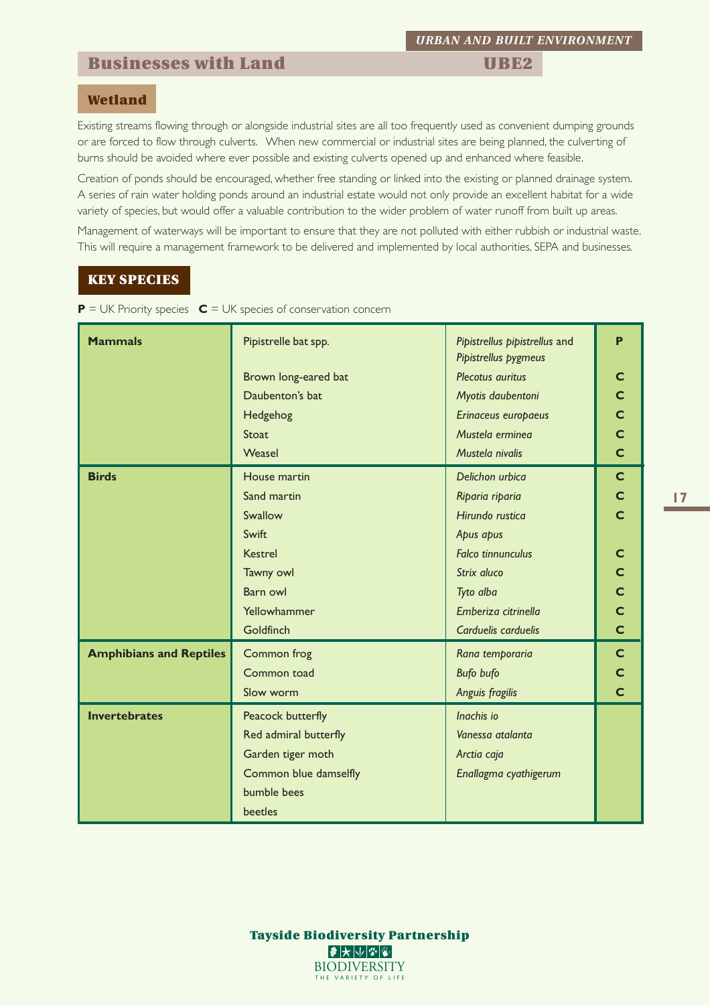## **Businesses with Land UBE2**

## **Wetland**

Existing streams flowing through or alongside industrial sites are all too frequently used as convenient dumping grounds or are forced to flow through culverts. When new commercial or industrial sites are being planned, the culverting of burns should be avoided where ever possible and existing culverts opened up and enhanced where feasible.

Creation of ponds should be encouraged, whether free standing or linked into the existing or planned drainage system. A series of rain water holding ponds around an industrial estate would not only provide an excellent habitat for a wide variety of species, but would offer a valuable contribution to the wider problem of water runoff from built up areas.

Management of waterways will be important to ensure that they are not polluted with either rubbish or industrial waste. This will require a management framework to be delivered and implemented by local authorities, SEPA and businesses.

## **KEY SPECIES**

| $\mathsf{P}$ = UK Priority species $\mathsf{C}$ = UK species of conservation concern |  |  |  |
|--------------------------------------------------------------------------------------|--|--|--|
|--------------------------------------------------------------------------------------|--|--|--|

| <b>Mammals</b>                 | Pipistrelle bat spp.<br>Pipistrellus pipistrellus and<br>Pipistrellus pygmeus<br>Plecotus auritus<br>Brown long-eared bat<br>Daubenton's bat<br>Myotis daubentoni<br>Hedgehog<br>Erinaceus europaeus<br>Mustela erminea<br>Stoat<br>Weasel<br>Mustela nivalis                                              |                                                                        |                         |  |
|--------------------------------|------------------------------------------------------------------------------------------------------------------------------------------------------------------------------------------------------------------------------------------------------------------------------------------------------------|------------------------------------------------------------------------|-------------------------|--|
| <b>Birds</b>                   | House martin<br>Delichon urbica<br>Sand martin<br>Riparia riparia<br>Swallow<br>Hirundo rustica<br>Swift<br>Apus apus<br><b>Kestrel</b><br><b>Falco tinnunculus</b><br>Tawny owl<br>Strix aluco<br>Barn owl<br>Tyto alba<br>Yellowhammer<br>Emberiza citrinella<br><b>Goldfinch</b><br>Carduelis carduelis |                                                                        |                         |  |
| <b>Amphibians and Reptiles</b> | Common frog<br>Common toad<br>Slow worm                                                                                                                                                                                                                                                                    | Rana temporaria<br><b>Bufo bufo</b><br>Anguis fragilis                 | $\mathsf{C}$<br>C.<br>C |  |
| <b>Invertebrates</b>           | Peacock butterfly<br>Red admiral butterfly<br>Garden tiger moth<br>Common blue damselfly<br>bumble bees<br><b>beetles</b>                                                                                                                                                                                  | Inachis io<br>Vanessa atalanta<br>Arctia caja<br>Enallagma cyathigerum |                         |  |

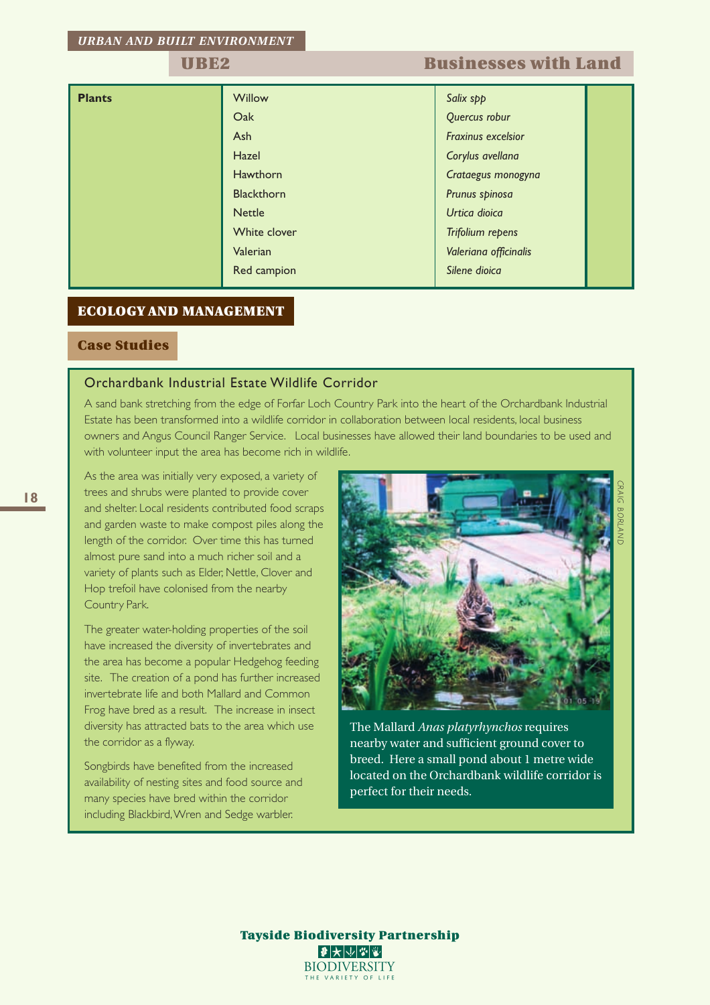## **UBE2 Businesses with Land**

| <b>Plants</b> | <b>Willow</b>     | Salix spp             |  |  |  |  |
|---------------|-------------------|-----------------------|--|--|--|--|
|               | Oak               | Quercus robur         |  |  |  |  |
|               | Ash               | Fraxinus excelsior    |  |  |  |  |
|               | Hazel             | Corylus avellana      |  |  |  |  |
|               | Hawthorn          | Crataegus monogyna    |  |  |  |  |
|               | <b>Blackthorn</b> | Prunus spinosa        |  |  |  |  |
|               | <b>Nettle</b>     | Urtica dioica         |  |  |  |  |
|               | White clover      | Trifolium repens      |  |  |  |  |
|               | Valerian          | Valeriana officinalis |  |  |  |  |
|               | Red campion       | Silene dioica         |  |  |  |  |

## **ECOLOGY AND MANAGEMENT**

## **Case Studies**

## Orchardbank Industrial Estate Wildlife Corridor

A sand bank stretching from the edge of Forfar Loch Country Park into the heart of the Orchardbank Industrial Estate has been transformed into a wildlife corridor in collaboration between local residents, local business owners and Angus Council Ranger Service. Local businesses have allowed their land boundaries to be used and with volunteer input the area has become rich in wildlife.

As the area was initially very exposed, a variety of trees and shrubs were planted to provide cover and shelter. Local residents contributed food scraps and garden waste to make compost piles along the length of the corridor. Over time this has turned almost pure sand into a much richer soil and a variety of plants such as Elder, Nettle, Clover and Hop trefoil have colonised from the nearby Country Park.

The greater water-holding properties of the soil have increased the diversity of invertebrates and the area has become a popular Hedgehog feeding site. The creation of a pond has further increased invertebrate life and both Mallard and Common Frog have bred as a result. The increase in insect diversity has attracted bats to the area which use the corridor as a flyway.

Songbirds have benefited from the increased availability of nesting sites and food source and many species have bred within the corridor including Blackbird, Wren and Sedge warbler.



The Mallard *Anas platyrhynchos* requires nearby water and sufficient ground cover to breed. Here a small pond about 1 metre wide located on the Orchardbank wildlife corridor is perfect for their needs.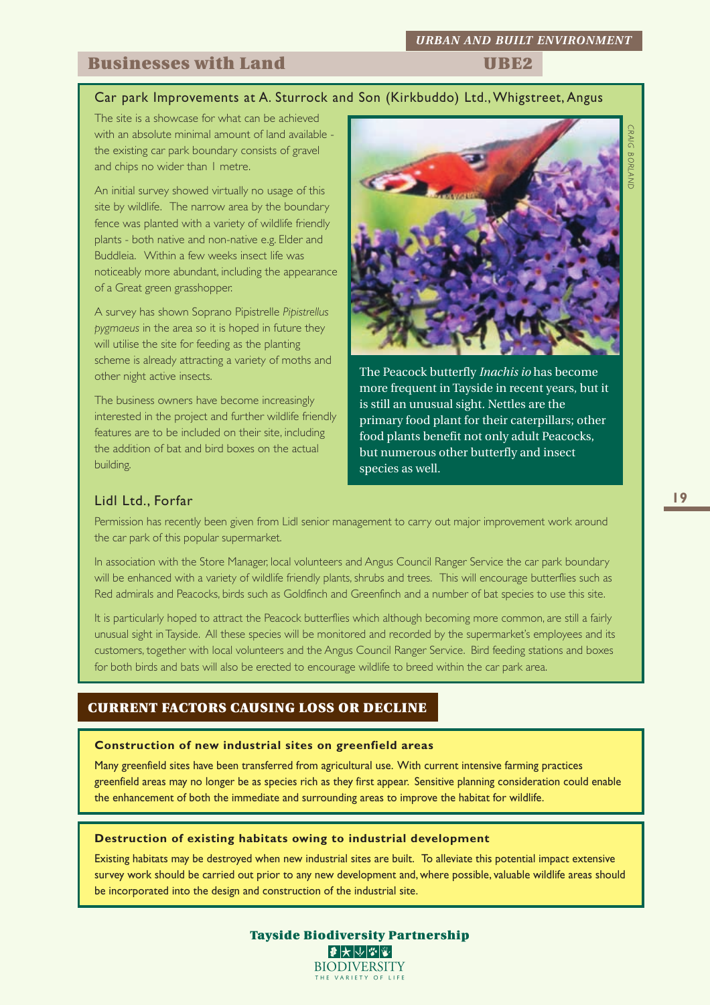## **Businesses with Land UBE2**

# Car park Improvements at A. Sturrock and Son (Kirkbuddo) Ltd., Whigstreet, Angus

The site is a showcase for what can be achieved with an absolute minimal amount of land available the existing car park boundary consists of gravel and chips no wider than 1 metre.

An initial survey showed virtually no usage of this site by wildlife. The narrow area by the boundary fence was planted with a variety of wildlife friendly plants - both native and non-native e.g. Elder and Buddleia. Within a few weeks insect life was noticeably more abundant, including the appearance of a Great green grasshopper.

A survey has shown Soprano Pipistrelle *Pipistrellus pygmaeus* in the area so it is hoped in future they will utilise the site for feeding as the planting scheme is already attracting a variety of moths and other night active insects.

The business owners have become increasingly interested in the project and further wildlife friendly features are to be included on their site, including the addition of bat and bird boxes on the actual building.



The Peacock butterfly *Inachis io* has become more frequent in Tayside in recent years, but it is still an unusual sight. Nettles are the primary food plant for their caterpillars; other food plants benefit not only adult Peacocks, but numerous other butterfly and insect species as well.

## Lidl Ltd., Forfar

Permission has recently been given from Lidl senior management to carry out major improvement work around the car park of this popular supermarket.

In association with the Store Manager, local volunteers and Angus Council Ranger Service the car park boundary will be enhanced with a variety of wildlife friendly plants, shrubs and trees. This will encourage butterflies such as Red admirals and Peacocks, birds such as Goldfinch and Greenfinch and a number of bat species to use this site.

It is particularly hoped to attract the Peacock butterflies which although becoming more common, are still a fairly unusual sight in Tayside. All these species will be monitored and recorded by the supermarket's employees and its customers, together with local volunteers and the Angus Council Ranger Service. Bird feeding stations and boxes for both birds and bats will also be erected to encourage wildlife to breed within the car park area.

## **CURRENT FACTORS CAUSING LOSS OR DECLINE**

### **Construction of new industrial sites on greenfield areas**

Many greenfield sites have been transferred from agricultural use. With current intensive farming practices greenfield areas may no longer be as species rich as they first appear. Sensitive planning consideration could enable the enhancement of both the immediate and surrounding areas to improve the habitat for wildlife.

#### **Destruction of existing habitats owing to industrial development**

Existing habitats may be destroyed when new industrial sites are built. To alleviate this potential impact extensive survey work should be carried out prior to any new development and, where possible, valuable wildlife areas should be incorporated into the design and construction of the industrial site.



**Tayside Biodiversity Partnership** 2大小的 **BIODIVERSITY** THE VARIETY OF L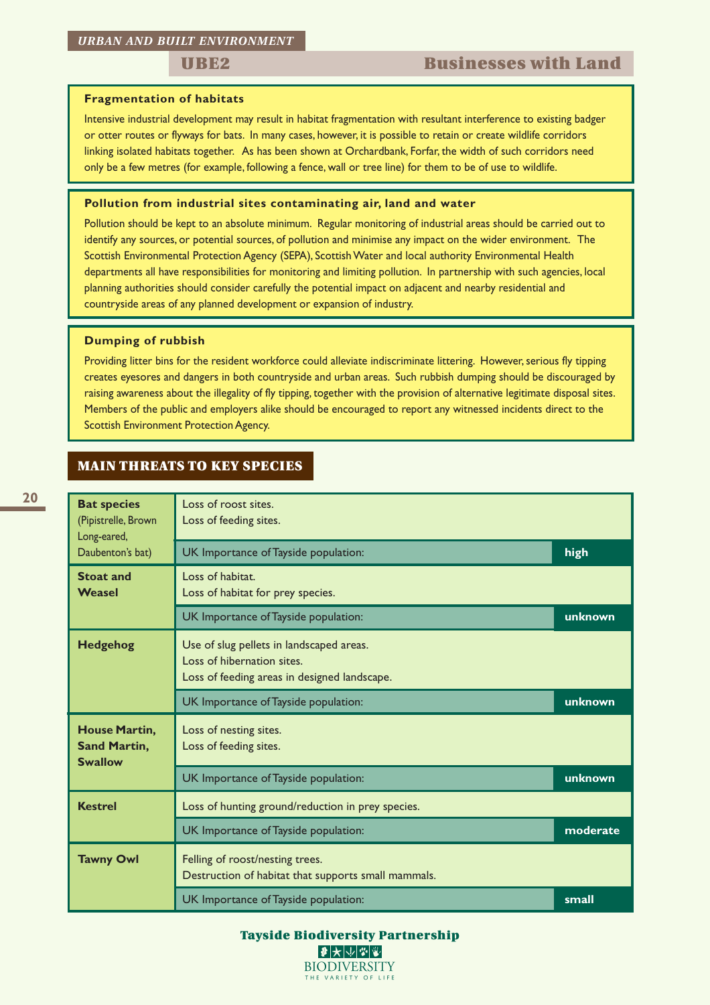## **UBE2** Businesses with Land

### **Fragmentation of habitats**

Intensive industrial development may result in habitat fragmentation with resultant interference to existing badger or otter routes or flyways for bats. In many cases, however, it is possible to retain or create wildlife corridors linking isolated habitats together. As has been shown at Orchardbank, Forfar, the width of such corridors need only be a few metres (for example, following a fence, wall or tree line) for them to be of use to wildlife.

#### **Pollution from industrial sites contaminating air, land and water**

Pollution should be kept to an absolute minimum. Regular monitoring of industrial areas should be carried out to identify any sources, or potential sources, of pollution and minimise any impact on the wider environment. The Scottish Environmental Protection Agency (SEPA), Scottish Water and local authority Environmental Health departments all have responsibilities for monitoring and limiting pollution. In partnership with such agencies, local planning authorities should consider carefully the potential impact on adjacent and nearby residential and countryside areas of any planned development or expansion of industry.

#### **Dumping of rubbish**

Providing litter bins for the resident workforce could alleviate indiscriminate littering. However, serious fly tipping creates eyesores and dangers in both countryside and urban areas. Such rubbish dumping should be discouraged by raising awareness about the illegality of fly tipping, together with the provision of alternative legitimate disposal sites. Members of the public and employers alike should be encouraged to report any witnessed incidents direct to the Scottish Environment Protection Agency.

## **MAIN THREATS TO KEY SPECIES**

| <b>Bat species</b><br>(Pipistrelle, Brown<br>Long-eared, | Loss of roost sites.<br>Loss of feeding sites.                                                                         |         |  |  |
|----------------------------------------------------------|------------------------------------------------------------------------------------------------------------------------|---------|--|--|
| Daubenton's bat)                                         | UK Importance of Tayside population:                                                                                   | high    |  |  |
| <b>Stoat and</b><br>Weasel                               | Loss of habitat.<br>Loss of habitat for prey species.                                                                  |         |  |  |
|                                                          | UK Importance of Tayside population:                                                                                   | unknown |  |  |
| <b>Hedgehog</b>                                          | Use of slug pellets in landscaped areas.<br>Loss of hibernation sites.<br>Loss of feeding areas in designed landscape. |         |  |  |
|                                                          | UK Importance of Tayside population:                                                                                   |         |  |  |
| House Martin,<br><b>Sand Martin,</b><br><b>Swallow</b>   | Loss of nesting sites.<br>Loss of feeding sites.                                                                       |         |  |  |
|                                                          | UK Importance of Tayside population:                                                                                   | unknown |  |  |
| <b>Kestrel</b>                                           | Loss of hunting ground/reduction in prey species.                                                                      |         |  |  |
|                                                          | UK Importance of Tayside population:<br>moderate                                                                       |         |  |  |
| <b>Tawny Owl</b>                                         | Felling of roost/nesting trees.<br>Destruction of habitat that supports small mammals.                                 |         |  |  |
|                                                          | UK Importance of Tayside population:                                                                                   | small   |  |  |

**Tayside Biodiversity Partnership BIODIVERSITY** THE VARIETY OF LIFE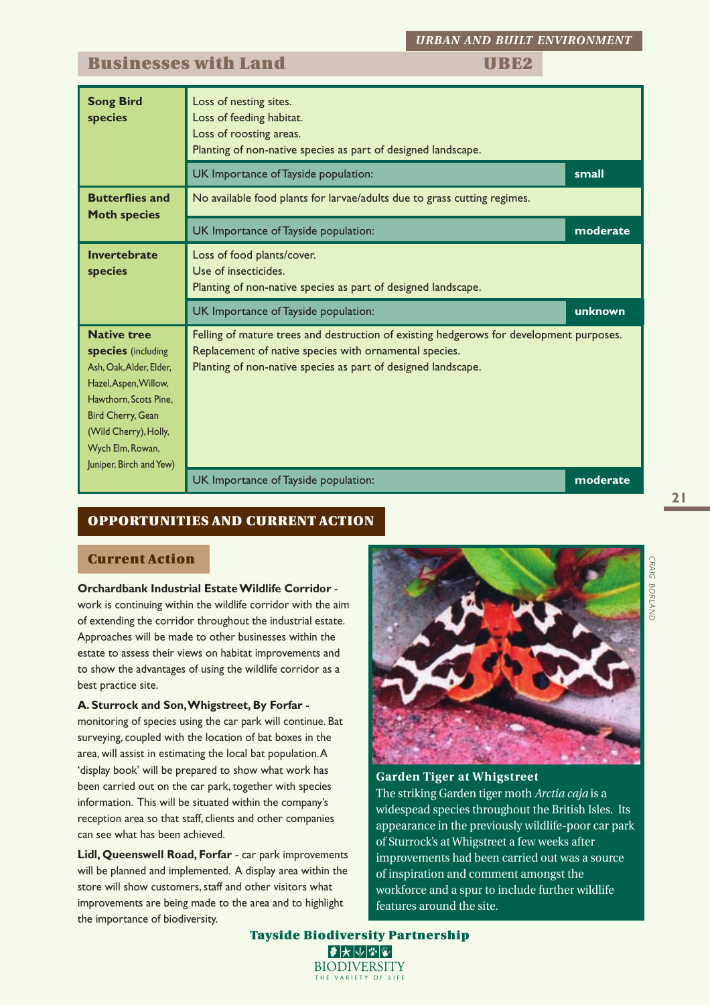## **Businesses with Land UBE2**

| <b>Song Bird</b><br>species                                                                                                                                                                                        | Loss of nesting sites.<br>Loss of feeding habitat.<br>Loss of roosting areas.<br>Planting of non-native species as part of designed landscape.<br>UK Importance of Tayside population:                             | small    |  |  |  |  |  |
|--------------------------------------------------------------------------------------------------------------------------------------------------------------------------------------------------------------------|--------------------------------------------------------------------------------------------------------------------------------------------------------------------------------------------------------------------|----------|--|--|--|--|--|
| <b>Butterflies and</b><br><b>Moth species</b>                                                                                                                                                                      | No available food plants for larvae/adults due to grass cutting regimes.                                                                                                                                           |          |  |  |  |  |  |
|                                                                                                                                                                                                                    | UK Importance of Tayside population:                                                                                                                                                                               | moderate |  |  |  |  |  |
| Invertebrate<br>species                                                                                                                                                                                            | Loss of food plants/cover.<br>Use of insecticides.<br>Planting of non-native species as part of designed landscape.                                                                                                |          |  |  |  |  |  |
|                                                                                                                                                                                                                    | UK Importance of Tayside population:                                                                                                                                                                               |          |  |  |  |  |  |
| <b>Native tree</b><br>species (including<br>Ash, Oak, Alder, Elder,<br>Hazel, Aspen, Willow,<br>Hawthorn, Scots Pine.<br>Bird Cherry, Gean<br>(Wild Cherry), Holly,<br>Wych Elm, Rowan,<br>Juniper, Birch and Yew) | Felling of mature trees and destruction of existing hedgerows for development purposes.<br>Replacement of native species with ornamental species.<br>Planting of non-native species as part of designed landscape. |          |  |  |  |  |  |
|                                                                                                                                                                                                                    | UK Importance of Tayside population:                                                                                                                                                                               | moderate |  |  |  |  |  |

## **OPPORTUNITIES AND CURRENT ACTION**

## **Current Action**

# **Orchardbank Industrial Estate Wildlife Corridor** -

work is continuing within the wildlife corridor with the aim of extending the corridor throughout the industrial estate. Approaches will be made to other businesses within the estate to assess their views on habitat improvements and to show the advantages of using the wildlife corridor as a best practice site.

### **A. Sturrock and Son, Whigstreet, By Forfar** -

monitoring of species using the car park will continue. Bat surveying, coupled with the location of bat boxes in the area, will assist in estimating the local bat population. A 'display book' will be prepared to show what work has been carried out on the car park, together with species information. This will be situated within the company's reception area so that staff, clients and other companies can see what has been achieved.

**Lidl, Queenswell Road, Forfar** - car park improvements will be planned and implemented. A display area within the store will show customers, staff and other visitors what improvements are being made to the area and to highlight the importance of biodiversity.



## **Garden Tiger at Whigstreet** The striking Garden tiger moth *Arctia caja* is a widespead species throughout the British Isles. Its appearance in the previously wildlife-poor car park of Sturrock's at Whigstreet a few weeks after improvements had been carried out was a source of inspiration and comment amongst the workforce and a spur to include further wildlife features around the site.



CRAIG BORLAND *BORLAND*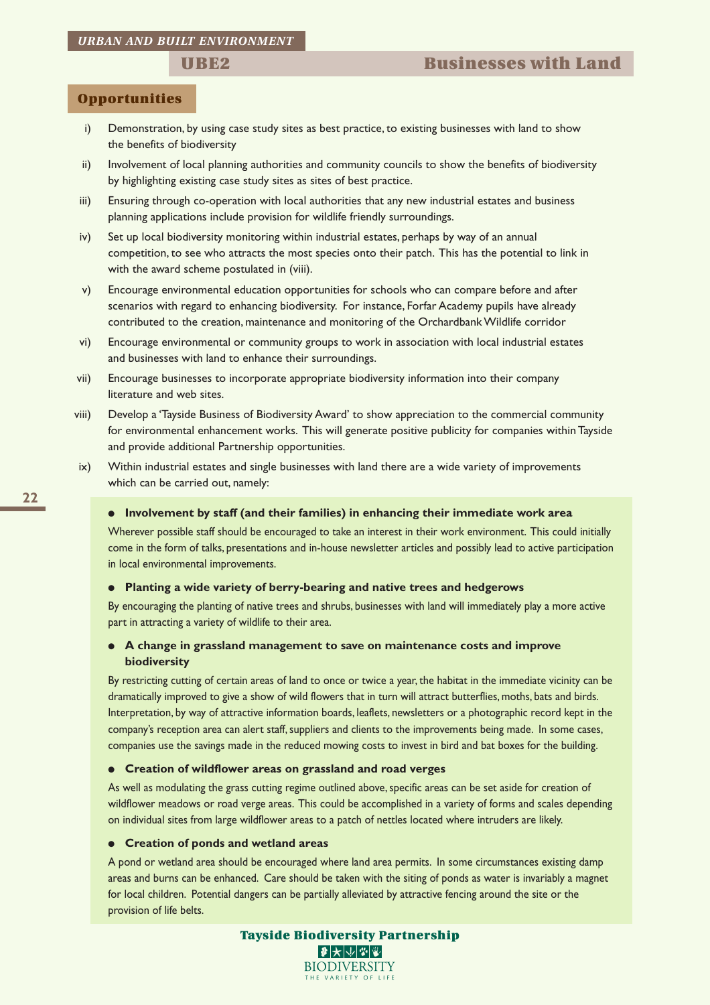## **Opportunities**

- i) Demonstration, by using case study sites as best practice, to existing businesses with land to show the benefits of biodiversity
- ii) Involvement of local planning authorities and community councils to show the benefits of biodiversity by highlighting existing case study sites as sites of best practice.
- iii) Ensuring through co-operation with local authorities that any new industrial estates and business planning applications include provision for wildlife friendly surroundings.
- iv) Set up local biodiversity monitoring within industrial estates, perhaps by way of an annual competition, to see who attracts the most species onto their patch. This has the potential to link in with the award scheme postulated in (viii).
- v) Encourage environmental education opportunities for schools who can compare before and after scenarios with regard to enhancing biodiversity. For instance, Forfar Academy pupils have already contributed to the creation, maintenance and monitoring of the Orchardbank Wildlife corridor
- vi) Encourage environmental or community groups to work in association with local industrial estates and businesses with land to enhance their surroundings.
- vii) Encourage businesses to incorporate appropriate biodiversity information into their company literature and web sites.
- viii) Develop a 'Tayside Business of Biodiversity Award' to show appreciation to the commercial community for environmental enhancement works. This will generate positive publicity for companies within Tayside and provide additional Partnership opportunities.
- ix) Within industrial estates and single businesses with land there are a wide variety of improvements which can be carried out, namely:

#### ● **Involvement by staff (and their families) in enhancing their immediate work area**

Wherever possible staff should be encouraged to take an interest in their work environment. This could initially come in the form of talks, presentations and in-house newsletter articles and possibly lead to active participation in local environmental improvements.

#### ● **Planting a wide variety of berry-bearing and native trees and hedgerows**

By encouraging the planting of native trees and shrubs, businesses with land will immediately play a more active part in attracting a variety of wildlife to their area.

### ● **A change in grassland management to save on maintenance costs and improve biodiversity**

By restricting cutting of certain areas of land to once or twice a year, the habitat in the immediate vicinity can be dramatically improved to give a show of wild flowers that in turn will attract butterflies, moths, bats and birds. Interpretation, by way of attractive information boards, leaflets, newsletters or a photographic record kept in the company's reception area can alert staff, suppliers and clients to the improvements being made. In some cases, companies use the savings made in the reduced mowing costs to invest in bird and bat boxes for the building.

#### ● **Creation of wildflower areas on grassland and road verges**

As well as modulating the grass cutting regime outlined above, specific areas can be set aside for creation of wildflower meadows or road verge areas. This could be accomplished in a variety of forms and scales depending on individual sites from large wildflower areas to a patch of nettles located where intruders are likely.

#### ● **Creation of ponds and wetland areas**

A pond or wetland area should be encouraged where land area permits. In some circumstances existing damp areas and burns can be enhanced. Care should be taken with the siting of ponds as water is invariably a magnet for local children. Potential dangers can be partially alleviated by attractive fencing around the site or the provision of life belts.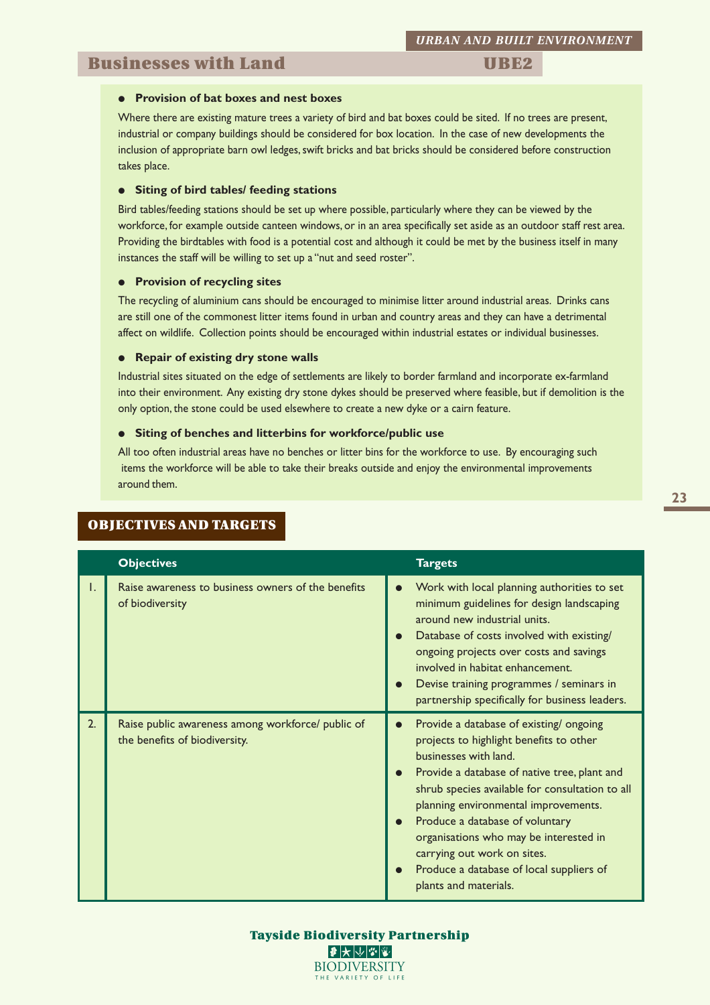## **Businesses with Land UBE2**

#### ● **Provision of bat boxes and nest boxes**

Where there are existing mature trees a variety of bird and bat boxes could be sited. If no trees are present, industrial or company buildings should be considered for box location. In the case of new developments the inclusion of appropriate barn owl ledges, swift bricks and bat bricks should be considered before construction takes place.

#### ● **Siting of bird tables/ feeding stations**

Bird tables/feeding stations should be set up where possible, particularly where they can be viewed by the workforce, for example outside canteen windows, or in an area specifically set aside as an outdoor staff rest area. Providing the birdtables with food is a potential cost and although it could be met by the business itself in many instances the staff will be willing to set up a "nut and seed roster".

### ● **Provision of recycling sites**

The recycling of aluminium cans should be encouraged to minimise litter around industrial areas. Drinks cans are still one of the commonest litter items found in urban and country areas and they can have a detrimental affect on wildlife. Collection points should be encouraged within industrial estates or individual businesses.

#### ● **Repair of existing dry stone walls**

Industrial sites situated on the edge of settlements are likely to border farmland and incorporate ex-farmland into their environment. Any existing dry stone dykes should be preserved where feasible, but if demolition is the only option, the stone could be used elsewhere to create a new dyke or a cairn feature.

#### ● **Siting of benches and litterbins for workforce/public use**

All too often industrial areas have no benches or litter bins for the workforce to use. By encouraging such items the workforce will be able to take their breaks outside and enjoy the environmental improvements around them.

|    | <b>Objectives</b>                                                                  | <b>Targets</b>                                                                                                                                                                                                                                                                                                                                                                                                                                                                             |
|----|------------------------------------------------------------------------------------|--------------------------------------------------------------------------------------------------------------------------------------------------------------------------------------------------------------------------------------------------------------------------------------------------------------------------------------------------------------------------------------------------------------------------------------------------------------------------------------------|
| I. | Raise awareness to business owners of the benefits<br>of biodiversity              | Work with local planning authorities to set<br>$\bullet$<br>minimum guidelines for design landscaping<br>around new industrial units.<br>Database of costs involved with existing/<br>$\bullet$<br>ongoing projects over costs and savings<br>involved in habitat enhancement.<br>Devise training programmes / seminars in<br>$\bullet$<br>partnership specifically for business leaders.                                                                                                  |
| 2. | Raise public awareness among workforce/ public of<br>the benefits of biodiversity. | Provide a database of existing/ongoing<br>$\bullet$<br>projects to highlight benefits to other<br>businesses with land.<br>Provide a database of native tree, plant and<br>$\bullet$<br>shrub species available for consultation to all<br>planning environmental improvements.<br>Produce a database of voluntary<br>$\bullet$<br>organisations who may be interested in<br>carrying out work on sites.<br>Produce a database of local suppliers of<br>$\bullet$<br>plants and materials. |

## **OBJECTIVES AND TARGETS**

#### **Tayside Biodiversity Partnership**  $\blacktriangleright$   $\Downarrow$   $\blacktriangleright$   $\Downarrow$   $\blacktriangleright$ **BIODIVERSITY** THE VARIETY OF LIFE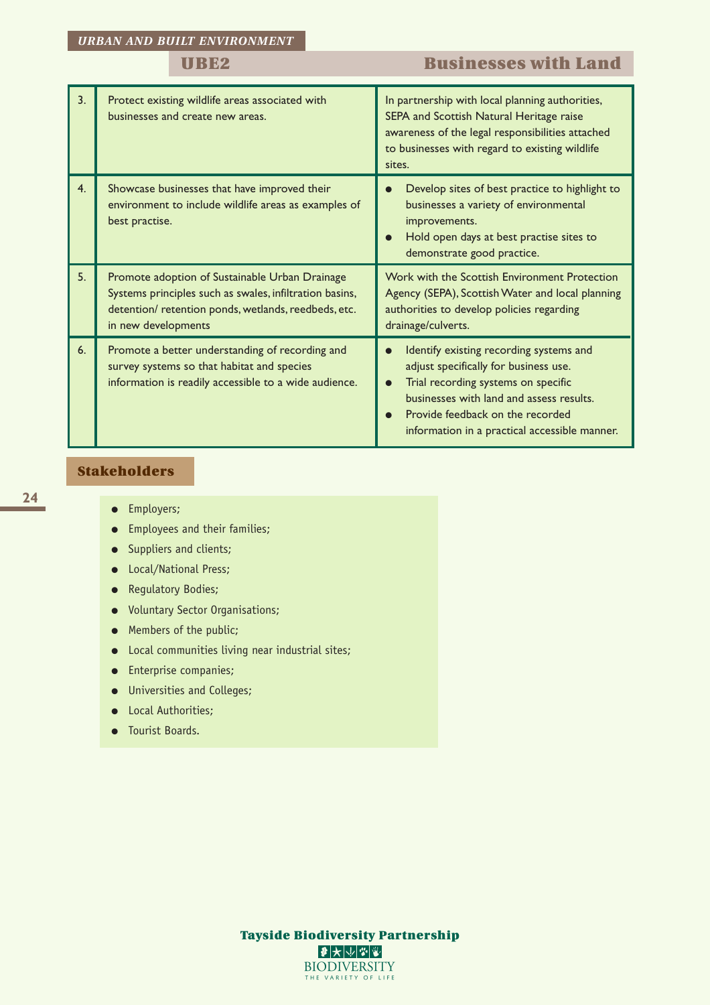# **UBE2 Businesses with Land**

| 3 <sub>1</sub> | Protect existing wildlife areas associated with<br>businesses and create new areas.                                                                                                     | In partnership with local planning authorities,<br>SEPA and Scottish Natural Heritage raise<br>awareness of the legal responsibilities attached<br>to businesses with regard to existing wildlife<br>sites.                                                                        |  |  |  |
|----------------|-----------------------------------------------------------------------------------------------------------------------------------------------------------------------------------------|------------------------------------------------------------------------------------------------------------------------------------------------------------------------------------------------------------------------------------------------------------------------------------|--|--|--|
| 4.             | Showcase businesses that have improved their<br>environment to include wildlife areas as examples of<br>best practise.                                                                  | Develop sites of best practice to highlight to<br>businesses a variety of environmental<br>improvements.<br>Hold open days at best practise sites to<br>demonstrate good practice.                                                                                                 |  |  |  |
| 5 <sub>1</sub> | Promote adoption of Sustainable Urban Drainage<br>Systems principles such as swales, infiltration basins,<br>detention/retention ponds, wetlands, reedbeds, etc.<br>in new developments | Work with the Scottish Environment Protection<br>Agency (SEPA), Scottish Water and local planning<br>authorities to develop policies regarding<br>drainage/culverts.                                                                                                               |  |  |  |
| 6.             | Promote a better understanding of recording and<br>survey systems so that habitat and species<br>information is readily accessible to a wide audience.                                  | Identify existing recording systems and<br>$\bullet$<br>adjust specifically for business use.<br>Trial recording systems on specific<br>$\bullet$<br>businesses with land and assess results.<br>Provide feedback on the recorded<br>information in a practical accessible manner. |  |  |  |

## **Stakeholders**

- Employers;
- Employees and their families;
- Suppliers and clients;
- Local/National Press;
- Regulatory Bodies;
- Voluntary Sector Organisations;
- Members of the public;
- Local communities living near industrial sites;
- Enterprise companies;
- Universities and Colleges;
- Local Authorities;
- Tourist Boards.

**Tayside Biodiversity Partnership**  $\bullet\star\smash\downarrow\mathscr{F}\textcolor{red}{\mathscr{F}}$ **BIODIVERSITY** THE VARIETY OF LIFE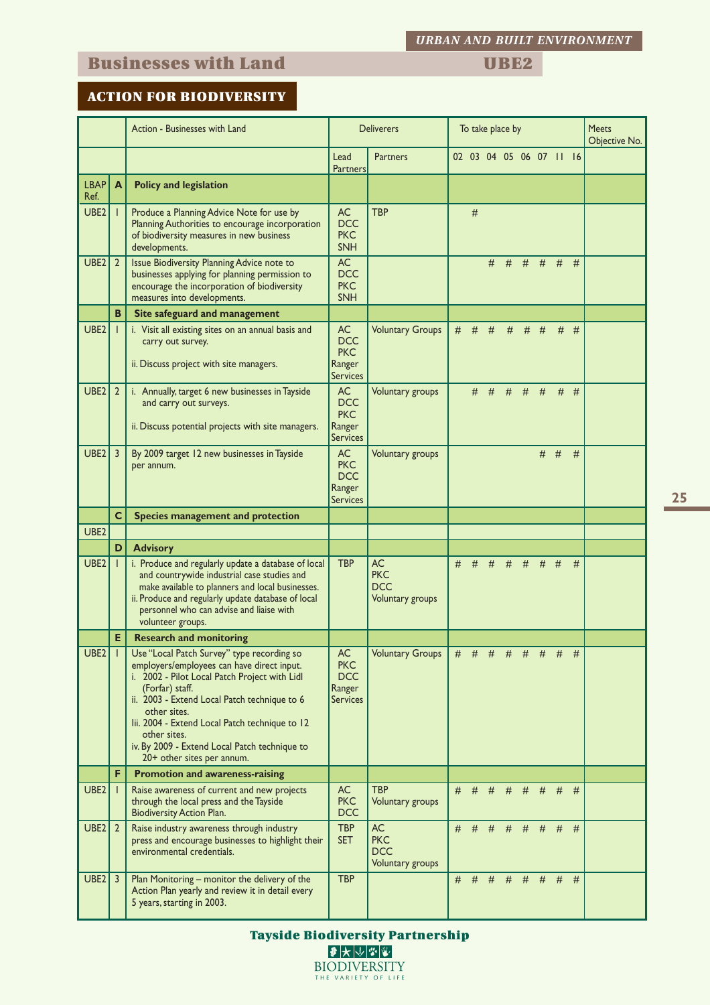# **Businesses with Land UBE2**

*URBAN AND BUILT ENVIRONMENT*

## **ACTION FOR BIODIVERSITY**

|                     |                | Action - Businesses with Land                                                                                                                                                                                                                                                                                                                                                 | <b>Deliverers</b>                                                  |                                                           | To take place by |   |         |   |                                                                                   |   |       | <b>Meets</b><br>Objective No. |  |
|---------------------|----------------|-------------------------------------------------------------------------------------------------------------------------------------------------------------------------------------------------------------------------------------------------------------------------------------------------------------------------------------------------------------------------------|--------------------------------------------------------------------|-----------------------------------------------------------|------------------|---|---------|---|-----------------------------------------------------------------------------------|---|-------|-------------------------------|--|
|                     |                |                                                                                                                                                                                                                                                                                                                                                                               | Lead<br><b>Partners</b>                                            | <b>Partners</b>                                           |                  |   |         |   | 02 03 04 05 06 07 11 16                                                           |   |       |                               |  |
| <b>LBAP</b><br>Ref. | A              | <b>Policy and legislation</b>                                                                                                                                                                                                                                                                                                                                                 |                                                                    |                                                           |                  |   |         |   |                                                                                   |   |       |                               |  |
| UBE <sub>2</sub>    |                | Produce a Planning Advice Note for use by<br>Planning Authorities to encourage incorporation<br>of biodiversity measures in new business<br>developments.                                                                                                                                                                                                                     | <b>AC</b><br><b>DCC</b><br><b>PKC</b><br><b>SNH</b>                | <b>TBP</b>                                                |                  | # |         |   |                                                                                   |   |       |                               |  |
| UBE <sub>2</sub>    | $\overline{2}$ | Issue Biodiversity Planning Advice note to<br>businesses applying for planning permission to<br>encourage the incorporation of biodiversity<br>measures into developments.                                                                                                                                                                                                    | AC<br><b>DCC</b><br><b>PKC</b><br><b>SNH</b>                       |                                                           |                  |   | #       |   | $#$ #                                                                             |   | $#$ # | #                             |  |
|                     | B              | Site safeguard and management                                                                                                                                                                                                                                                                                                                                                 |                                                                    |                                                           |                  |   |         |   |                                                                                   |   |       |                               |  |
| UBE <sub>2</sub>    |                | i. Visit all existing sites on an annual basis and<br>carry out survey.<br>ii. Discuss project with site managers.                                                                                                                                                                                                                                                            | <b>AC</b><br><b>DCC</b><br><b>PKC</b><br>Ranger<br>Services        | <b>Voluntary Groups</b>                                   | #                | # | #       | # | #                                                                                 | # | #     | #                             |  |
| UBE <sub>2</sub>    | $\overline{2}$ | i. Annually, target 6 new businesses in Tayside<br>and carry out surveys.<br>ii. Discuss potential projects with site managers.                                                                                                                                                                                                                                               | AC<br><b>DCC</b><br><b>PKC</b><br>Ranger<br><b>Services</b>        | Voluntary groups                                          |                  |   |         |   | # # # # #                                                                         |   |       | $#$ #                         |  |
| UBE <sub>2</sub>    | $\overline{3}$ | By 2009 target 12 new businesses in Tayside<br>per annum.                                                                                                                                                                                                                                                                                                                     | <b>AC</b><br><b>PKC</b><br><b>DCC</b><br>Ranger<br>Services        | Voluntary groups                                          |                  |   |         |   |                                                                                   |   | $#$ # | #                             |  |
|                     | $\mathbf c$    | Species management and protection                                                                                                                                                                                                                                                                                                                                             |                                                                    |                                                           |                  |   |         |   |                                                                                   |   |       |                               |  |
| UBE <sub>2</sub>    |                |                                                                                                                                                                                                                                                                                                                                                                               |                                                                    |                                                           |                  |   |         |   |                                                                                   |   |       |                               |  |
|                     | D              | <b>Advisory</b>                                                                                                                                                                                                                                                                                                                                                               |                                                                    |                                                           |                  |   |         |   |                                                                                   |   |       |                               |  |
| UBE <sub>2</sub>    |                | i. Produce and regularly update a database of local<br>and countrywide industrial case studies and<br>make available to planners and local businesses.<br>ii. Produce and regularly update database of local<br>personnel who can advise and liaise with<br>volunteer groups.                                                                                                 | <b>TBP</b>                                                         | <b>AC</b><br><b>PKC</b><br><b>DCC</b><br>Voluntary groups | #                | # | #       | # | #                                                                                 | # | #     | #                             |  |
|                     | E              | <b>Research and monitoring</b>                                                                                                                                                                                                                                                                                                                                                |                                                                    |                                                           |                  |   |         |   |                                                                                   |   |       |                               |  |
| $UBE2$              |                | Use "Local Patch Survey" type recording so<br>employers/employees can have direct input.<br>i. 2002 - Pilot Local Patch Project with Lidl<br>(Forfar) staff.<br>ii. 2003 - Extend Local Patch technique to 6<br>other sites.<br>lii. 2004 - Extend Local Patch technique to 12<br>other sites.<br>iv. By 2009 - Extend Local Patch technique to<br>20+ other sites per annum. | <b>AC</b><br><b>PKC</b><br><b>DCC</b><br>Ranger<br><b>Services</b> | Voluntary Groups                                          |                  |   |         |   | $\begin{array}{cccccccccccccc} \# & \# & \# & \# & \# & \# & \# & \# \end{array}$ |   |       | <del>#</del>                  |  |
|                     | F              | <b>Promotion and awareness-raising</b>                                                                                                                                                                                                                                                                                                                                        |                                                                    |                                                           |                  |   |         |   |                                                                                   |   |       |                               |  |
| UBE <sub>2</sub>    |                | Raise awareness of current and new projects<br>through the local press and the Tayside<br>Biodiversity Action Plan.                                                                                                                                                                                                                                                           | AC<br><b>PKC</b><br><b>DCC</b>                                     | <b>TBP</b><br>Voluntary groups                            | #                | # | #       | # | #                                                                                 | # | #     | #                             |  |
| UBE <sub>2</sub>    | $\overline{2}$ | Raise industry awareness through industry<br>press and encourage businesses to highlight their<br>environmental credentials.                                                                                                                                                                                                                                                  | <b>TBP</b><br><b>SET</b>                                           | AC.<br><b>PKC</b><br><b>DCC</b><br>Voluntary groups       | #                |   | $#$ $#$ |   | # # #                                                                             |   | #     | #                             |  |
| UBE2                | 3              | Plan Monitoring - monitor the delivery of the<br>Action Plan yearly and review it in detail every<br>5 years, starting in 2003.                                                                                                                                                                                                                                               | <b>TBP</b>                                                         |                                                           | #                | # | #       | # | #                                                                                 | # | #     | #                             |  |